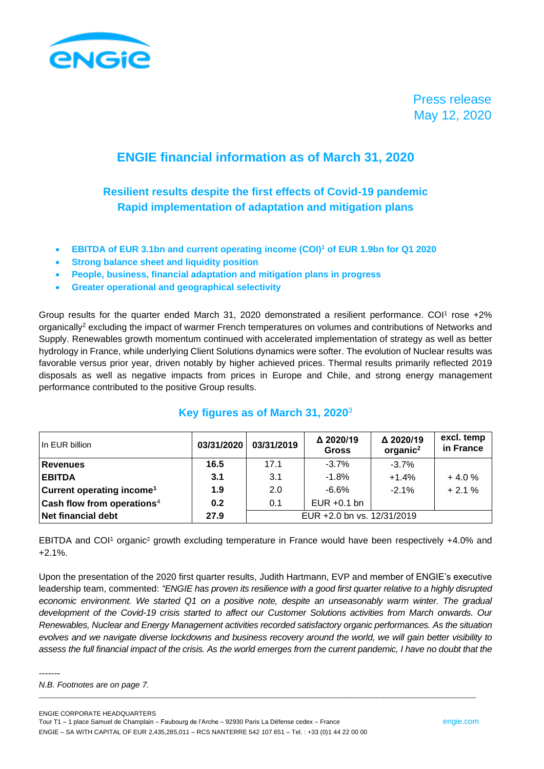

Press release May 12, 2020

# **ENGIE financial information as of March 31, 2020**

**Resilient results despite the first effects of Covid-19 pandemic Rapid implementation of adaptation and mitigation plans**

- **EBITDA of EUR 3.1bn and current operating income (COI)<sup>1</sup> of EUR 1.9bn for Q1 2020**
- **Strong balance sheet and liquidity position**
- **People, business, financial adaptation and mitigation plans in progress**
- **Greater operational and geographical selectivity**

Group results for the quarter ended March 31, 2020 demonstrated a resilient performance. COI<sup>1</sup> rose  $+2\%$ organically<sup>2</sup> excluding the impact of warmer French temperatures on volumes and contributions of Networks and Supply. Renewables growth momentum continued with accelerated implementation of strategy as well as better hydrology in France, while underlying Client Solutions dynamics were softer. The evolution of Nuclear results was favorable versus prior year, driven notably by higher achieved prices. Thermal results primarily reflected 2019 disposals as well as negative impacts from prices in Europe and Chile, and strong energy management performance contributed to the positive Group results.

| In EUR billion                         | 03/31/2020 | 03/31/2019                 | Δ 2020/19<br><b>Gross</b> | Δ 2020/19<br>organic <sup>2</sup> | excl. temp<br>in France |
|----------------------------------------|------------|----------------------------|---------------------------|-----------------------------------|-------------------------|
| <b>Revenues</b>                        | 16.5       | 17.1                       | $-3.7%$                   | $-3.7%$                           |                         |
| <b>EBITDA</b>                          | 3.1        | 3.1                        | $-1.8%$                   | $+1.4%$                           | $+4.0%$                 |
| Current operating income <sup>1</sup>  | 1.9        | 2.0                        | -6.6%                     | $-2.1%$                           | $+2.1%$                 |
| Cash flow from operations <sup>4</sup> | 0.2        | 0.1                        | EUR $+0.1$ bn             |                                   |                         |
| Net financial debt                     | 27.9       | EUR +2.0 bn vs. 12/31/2019 |                           |                                   |                         |

## **Key figures as of March 31, 2020**<sup>3</sup>

EBITDA and COI<sup>1</sup> organic<sup>2</sup> growth excluding temperature in France would have been respectively +4.0% and +2.1%.

Upon the presentation of the 2020 first quarter results, Judith Hartmann, EVP and member of ENGIE's executive leadership team, commented: *"ENGIE has proven its resilience with a good first quarter relative to a highly disrupted economic environment. We started Q1 on a positive note, despite an unseasonably warm winter. The gradual development of the Covid-19 crisis started to affect our Customer Solutions activities from March onwards. Our Renewables, Nuclear and Energy Management activities recorded satisfactory organic performances. As the situation evolves and we navigate diverse lockdowns and business recovery around the world, we will gain better visibility to*  assess the full financial impact of the crisis. As the world emerges from the current pandemic, I have no doubt that the

\_\_\_\_\_\_\_\_\_\_\_\_\_\_\_\_\_\_\_\_\_\_\_\_\_\_\_\_\_\_\_\_\_\_\_\_\_\_\_\_\_\_\_\_\_\_\_\_\_\_\_\_\_\_\_\_\_\_\_\_\_\_\_\_\_\_\_\_\_\_\_\_\_\_\_\_\_\_\_\_\_\_\_\_\_\_\_\_\_\_\_\_\_\_\_\_\_\_\_\_\_\_\_\_\_\_\_\_\_\_\_\_\_\_\_\_\_\_\_\_\_\_\_

-------

*N.B. Footnotes are on page 7.*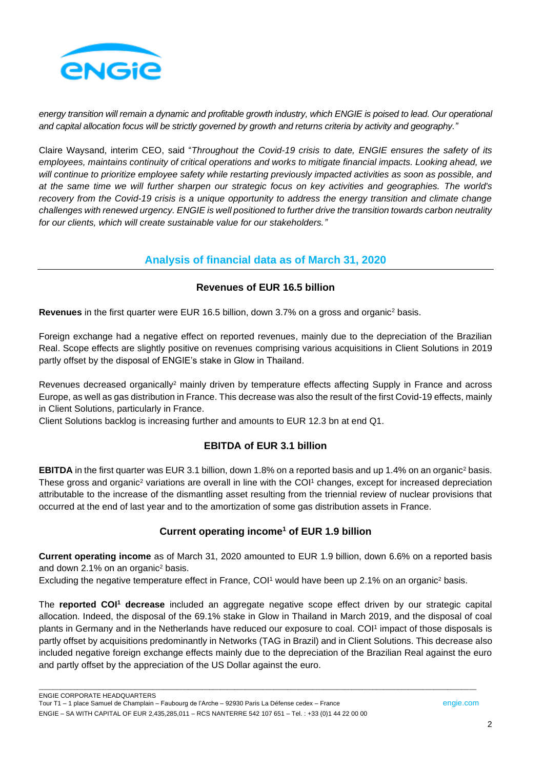

*energy transition will remain a dynamic and profitable growth industry, which ENGIE is poised to lead. Our operational and capital allocation focus will be strictly governed by growth and returns criteria by activity and geography."*

Claire Waysand, interim CEO, said "*Throughout the Covid-19 crisis to date, ENGIE ensures the safety of its employees, maintains continuity of critical operations and works to mitigate financial impacts. Looking ahead, we will continue to prioritize employee safety while restarting previously impacted activities as soon as possible, and at the same time we will further sharpen our strategic focus on key activities and geographies. The world's recovery from the Covid-19 crisis is a unique opportunity to address the energy transition and climate change challenges with renewed urgency. ENGIE is well positioned to further drive the transition towards carbon neutrality for our clients, which will create sustainable value for our stakeholders."*

# **Analysis of financial data as of March 31, 2020**

### **Revenues of EUR 16.5 billion**

**Revenues** in the first quarter were EUR 16.5 billion, down 3.7% on a gross and organic<sup>2</sup> basis.

Foreign exchange had a negative effect on reported revenues, mainly due to the depreciation of the Brazilian Real. Scope effects are slightly positive on revenues comprising various acquisitions in Client Solutions in 2019 partly offset by the disposal of ENGIE's stake in Glow in Thailand.

Revenues decreased organically<sup>2</sup> mainly driven by temperature effects affecting Supply in France and across Europe, as well as gas distribution in France. This decrease was also the result of the first Covid-19 effects, mainly in Client Solutions, particularly in France.

Client Solutions backlog is increasing further and amounts to EUR 12.3 bn at end Q1.

## **EBITDA of EUR 3.1 billion**

**EBITDA** in the first quarter was EUR 3.1 billion, down 1.8% on a reported basis and up 1.4% on an organic<sup>2</sup> basis. These gross and organic<sup>2</sup> variations are overall in line with the COI<sup>1</sup> changes, except for increased depreciation attributable to the increase of the dismantling asset resulting from the triennial review of nuclear provisions that occurred at the end of last year and to the amortization of some gas distribution assets in France.

#### **Current operating income<sup>1</sup> of EUR 1.9 billion**

**Current operating income** as of March 31, 2020 amounted to EUR 1.9 billion, down 6.6% on a reported basis and down 2.1% on an organic<sup>2</sup> basis.

Excluding the negative temperature effect in France, COI<sup>1</sup> would have been up 2.1% on an organic<sup>2</sup> basis.

The **reported COI<sup>1</sup> decrease** included an aggregate negative scope effect driven by our strategic capital allocation. Indeed, the disposal of the 69.1% stake in Glow in Thailand in March 2019, and the disposal of coal plants in Germany and in the Netherlands have reduced our exposure to coal. COI<sup>1</sup> impact of those disposals is partly offset by acquisitions predominantly in Networks (TAG in Brazil) and in Client Solutions. This decrease also included negative foreign exchange effects mainly due to the depreciation of the Brazilian Real against the euro and partly offset by the appreciation of the US Dollar against the euro.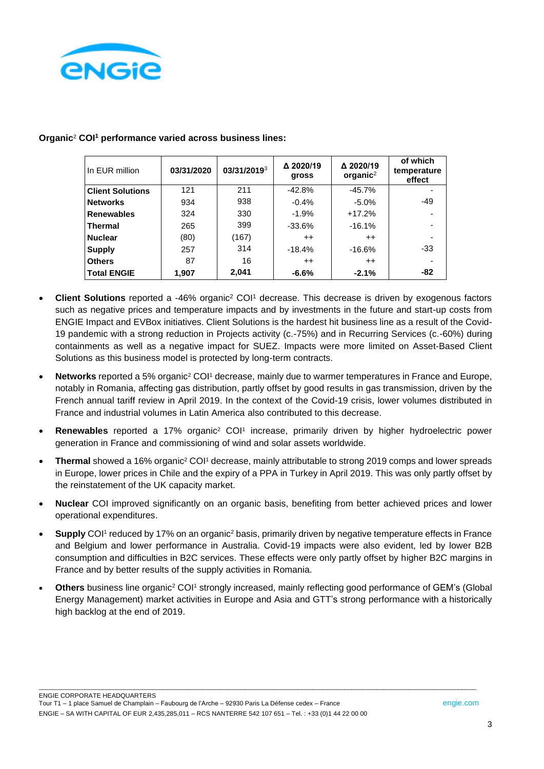

| In EUR million          | 03/31/2020 | 03/31/20193 | Δ 2020/19<br>gross | △ 2020/19<br>organic $2$ | of which<br>temperature<br>effect |
|-------------------------|------------|-------------|--------------------|--------------------------|-----------------------------------|
| <b>Client Solutions</b> | 121        | 211         | $-42.8%$           | $-45.7%$                 |                                   |
| <b>Networks</b>         | 934        | 938         | $-0.4%$            | $-5.0%$                  | $-49$                             |
| <b>Renewables</b>       | 324        | 330         | $-1.9%$            | $+17.2%$                 |                                   |
| <b>Thermal</b>          | 265        | 399         | $-33.6%$           | $-16.1%$                 |                                   |
| <b>Nuclear</b>          | (80)       | (167)       | $^{++}$            | $^{++}$                  |                                   |
| <b>Supply</b>           | 257        | 314         | $-18.4%$           | $-16.6%$                 | $-33$                             |
| <b>Others</b>           | 87         | 16          | $^{++}$            | $++$                     |                                   |
| <b>Total ENGIE</b>      | 1,907      | 2,041       | $-6.6%$            | $-2.1%$                  | -82                               |

#### **Organic**<sup>2</sup> **COI<sup>1</sup> performance varied across business lines:**

- **Client Solutions** reported a -46% organic<sup>2</sup> COI<sup>1</sup> decrease. This decrease is driven by exogenous factors such as negative prices and temperature impacts and by investments in the future and start-up costs from ENGIE Impact and EVBox initiatives. Client Solutions is the hardest hit business line as a result of the Covid-19 pandemic with a strong reduction in Projects activity (c.-75%) and in Recurring Services (c.-60%) during containments as well as a negative impact for SUEZ. Impacts were more limited on Asset-Based Client Solutions as this business model is protected by long-term contracts.
- **Networks** reported a 5% organic<sup>2</sup> COI<sup>1</sup> decrease, mainly due to warmer temperatures in France and Europe, notably in Romania, affecting gas distribution, partly offset by good results in gas transmission, driven by the French annual tariff review in April 2019. In the context of the Covid-19 crisis, lower volumes distributed in France and industrial volumes in Latin America also contributed to this decrease.
- **Renewables** reported a 17% organic<sup>2</sup> COI<sup>1</sup> increase, primarily driven by higher hydroelectric power generation in France and commissioning of wind and solar assets worldwide.
- **Thermal** showed a 16% organic<sup>2</sup> COI<sup>1</sup> decrease, mainly attributable to strong 2019 comps and lower spreads in Europe, lower prices in Chile and the expiry of a PPA in Turkey in April 2019. This was only partly offset by the reinstatement of the UK capacity market.
- **Nuclear** COI improved significantly on an organic basis, benefiting from better achieved prices and lower operational expenditures.
- Supply COI<sup>1</sup> reduced by 17% on an organic<sup>2</sup> basis, primarily driven by negative temperature effects in France and Belgium and lower performance in Australia. Covid-19 impacts were also evident, led by lower B2B consumption and difficulties in B2C services. These effects were only partly offset by higher B2C margins in France and by better results of the supply activities in Romania.
- **Others** business line organic<sup>2</sup> COI<sup>1</sup> strongly increased, mainly reflecting good performance of GEM's (Global Energy Management) market activities in Europe and Asia and GTT's strong performance with a historically high backlog at the end of 2019.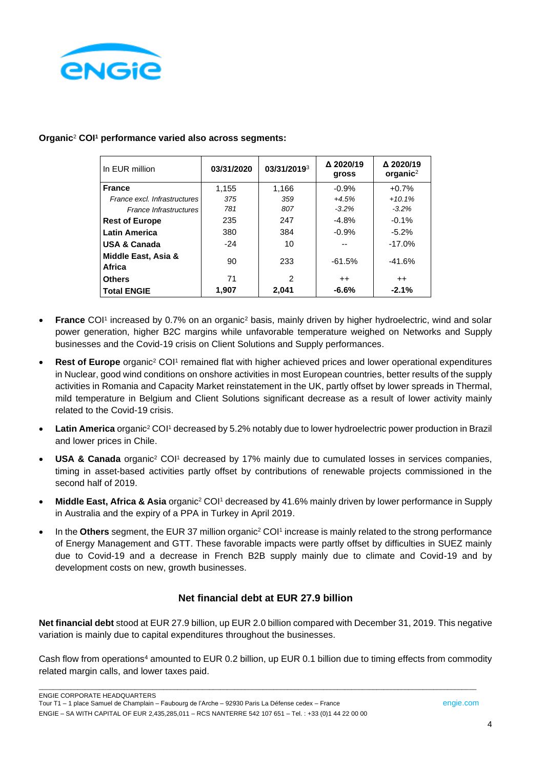

| In EUR million                | 03/31/2020 | 03/31/20193    | Δ 2020/19<br>gross | △ 2020/19<br>organic $2$ |
|-------------------------------|------------|----------------|--------------------|--------------------------|
| <b>France</b>                 | 1,155      | 1.166          | $-0.9\%$           | $+0.7%$                  |
| France excl. Infrastructures  | 375        | 359            | $+4.5%$            | $+10.1%$                 |
| France Infrastructures        | 781        | 807            | $-3.2%$            | $-3.2\%$                 |
| <b>Rest of Europe</b>         | 235        | 247            | $-4.8%$            | $-0.1%$                  |
| <b>Latin America</b>          | 380        | 384            | $-0.9%$            | $-5.2\%$                 |
| <b>USA &amp; Canada</b>       | $-24$      | 10             |                    | $-17.0%$                 |
| Middle East, Asia &<br>Africa | 90         | 233            | $-61.5%$           | $-41.6%$                 |
| <b>Others</b>                 | 71         | $\mathfrak{p}$ | $++$               | $++$                     |
| <b>Total ENGIE</b>            | 1,907      | 2,041          | $-6.6%$            | $-2.1%$                  |

#### **Organic**<sup>2</sup> **COI<sup>1</sup> performance varied also across segments:**

- **France** COI<sup>1</sup> increased by 0.7% on an organic<sup>2</sup> basis, mainly driven by higher hydroelectric, wind and solar power generation, higher B2C margins while unfavorable temperature weighed on Networks and Supply businesses and the Covid-19 crisis on Client Solutions and Supply performances.
- Rest of Europe organic<sup>2</sup> COI<sup>1</sup> remained flat with higher achieved prices and lower operational expenditures in Nuclear, good wind conditions on onshore activities in most European countries, better results of the supply activities in Romania and Capacity Market reinstatement in the UK, partly offset by lower spreads in Thermal, mild temperature in Belgium and Client Solutions significant decrease as a result of lower activity mainly related to the Covid-19 crisis.
- **Latin America** organic<sup>2</sup> COI<sup>1</sup> decreased by 5.2% notably due to lower hydroelectric power production in Brazil and lower prices in Chile.
- **USA & Canada** organic<sup>2</sup> COI<sup>1</sup> decreased by 17% mainly due to cumulated losses in services companies, timing in asset-based activities partly offset by contributions of renewable projects commissioned in the second half of 2019.
- **Middle East, Africa & Asia** organic<sup>2</sup> COI<sup>1</sup> decreased by 41.6% mainly driven by lower performance in Supply in Australia and the expiry of a PPA in Turkey in April 2019.
- In the Others segment, the EUR 37 million organic<sup>2</sup> COI<sup>1</sup> increase is mainly related to the strong performance of Energy Management and GTT. These favorable impacts were partly offset by difficulties in SUEZ mainly due to Covid-19 and a decrease in French B2B supply mainly due to climate and Covid-19 and by development costs on new, growth businesses.

#### **Net financial debt at EUR 27.9 billion**

**Net financial debt** stood at EUR 27.9 billion, up EUR 2.0 billion compared with December 31, 2019. This negative variation is mainly due to capital expenditures throughout the businesses.

Cash flow from operations<sup>4</sup> amounted to EUR 0.2 billion, up EUR 0.1 billion due to timing effects from commodity related margin calls, and lower taxes paid.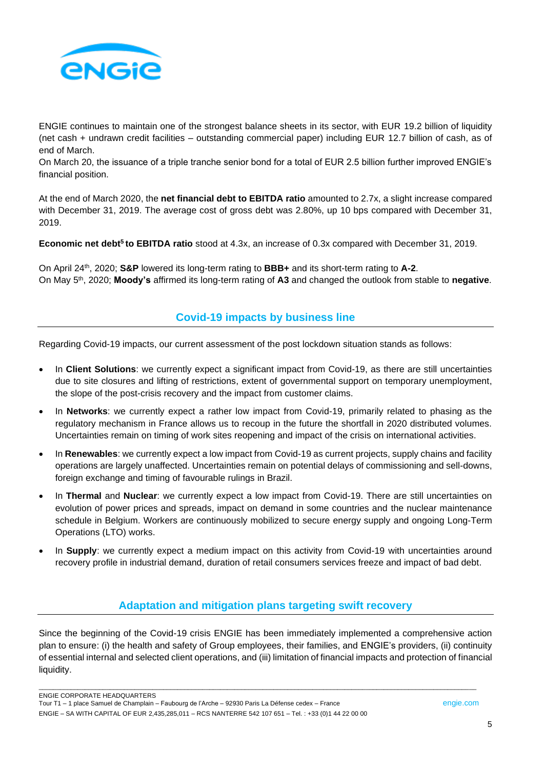

ENGIE continues to maintain one of the strongest balance sheets in its sector, with EUR 19.2 billion of liquidity (net cash + undrawn credit facilities – outstanding commercial paper) including EUR 12.7 billion of cash, as of end of March.

On March 20, the issuance of a triple tranche senior bond for a total of EUR 2.5 billion further improved ENGIE's financial position.

At the end of March 2020, the **net financial debt to EBITDA ratio** amounted to 2.7x, a slight increase compared with December 31, 2019. The average cost of gross debt was 2.80%, up 10 bps compared with December 31, 2019.

**Economic net debt<sup>5</sup> to EBITDA ratio** stood at 4.3x, an increase of 0.3x compared with December 31, 2019.

On April 24th, 2020; **S&P** lowered its long-term rating to **BBB+** and its short-term rating to **A-2**. On May 5th, 2020; **Moody's** affirmed its long-term rating of **A3** and changed the outlook from stable to **negative**.

### **Covid-19 impacts by business line**

Regarding Covid-19 impacts, our current assessment of the post lockdown situation stands as follows:

- In **Client Solutions**: we currently expect a significant impact from Covid-19, as there are still uncertainties due to site closures and lifting of restrictions, extent of governmental support on temporary unemployment, the slope of the post-crisis recovery and the impact from customer claims.
- In **Networks**: we currently expect a rather low impact from Covid-19, primarily related to phasing as the regulatory mechanism in France allows us to recoup in the future the shortfall in 2020 distributed volumes. Uncertainties remain on timing of work sites reopening and impact of the crisis on international activities.
- In **Renewables**: we currently expect a low impact from Covid-19 as current projects, supply chains and facility operations are largely unaffected. Uncertainties remain on potential delays of commissioning and sell-downs, foreign exchange and timing of favourable rulings in Brazil.
- In **Thermal** and **Nuclear**: we currently expect a low impact from Covid-19. There are still uncertainties on evolution of power prices and spreads, impact on demand in some countries and the nuclear maintenance schedule in Belgium. Workers are continuously mobilized to secure energy supply and ongoing Long-Term Operations (LTO) works.
- In **Supply**: we currently expect a medium impact on this activity from Covid-19 with uncertainties around recovery profile in industrial demand, duration of retail consumers services freeze and impact of bad debt.

## **Adaptation and mitigation plans targeting swift recovery**

Since the beginning of the Covid-19 crisis ENGIE has been immediately implemented a comprehensive action plan to ensure: (i) the health and safety of Group employees, their families, and ENGIE's providers, (ii) continuity of essential internal and selected client operations, and (iii) limitation of financial impacts and protection of financial liquidity.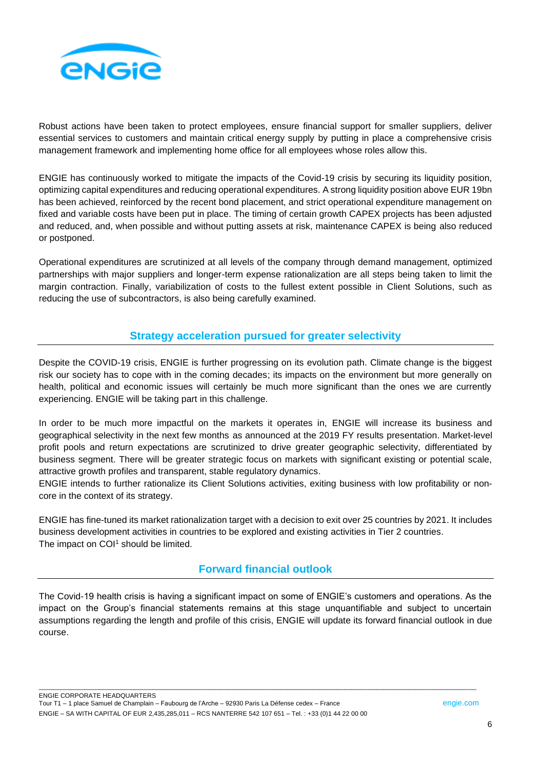

Robust actions have been taken to protect employees, ensure financial support for smaller suppliers, deliver essential services to customers and maintain critical energy supply by putting in place a comprehensive crisis management framework and implementing home office for all employees whose roles allow this.

ENGIE has continuously worked to mitigate the impacts of the Covid-19 crisis by securing its liquidity position, optimizing capital expenditures and reducing operational expenditures. A strong liquidity position above EUR 19bn has been achieved, reinforced by the recent bond placement, and strict operational expenditure management on fixed and variable costs have been put in place. The timing of certain growth CAPEX projects has been adjusted and reduced, and, when possible and without putting assets at risk, maintenance CAPEX is being also reduced or postponed.

Operational expenditures are scrutinized at all levels of the company through demand management, optimized partnerships with major suppliers and longer-term expense rationalization are all steps being taken to limit the margin contraction. Finally, variabilization of costs to the fullest extent possible in Client Solutions, such as reducing the use of subcontractors, is also being carefully examined.

## **Strategy acceleration pursued for greater selectivity**

Despite the COVID-19 crisis, ENGIE is further progressing on its evolution path. Climate change is the biggest risk our society has to cope with in the coming decades; its impacts on the environment but more generally on health, political and economic issues will certainly be much more significant than the ones we are currently experiencing. ENGIE will be taking part in this challenge.

In order to be much more impactful on the markets it operates in, ENGIE will increase its business and geographical selectivity in the next few months as announced at the 2019 FY results presentation. Market-level profit pools and return expectations are scrutinized to drive greater geographic selectivity, differentiated by business segment. There will be greater strategic focus on markets with significant existing or potential scale, attractive growth profiles and transparent, stable regulatory dynamics.

ENGIE intends to further rationalize its Client Solutions activities, exiting business with low profitability or noncore in the context of its strategy.

ENGIE has fine-tuned its market rationalization target with a decision to exit over 25 countries by 2021. It includes business development activities in countries to be explored and existing activities in Tier 2 countries. The impact on COI<sup>1</sup> should be limited.

## **Forward financial outlook**

The Covid-19 health crisis is having a significant impact on some of ENGIE's customers and operations. As the impact on the Group's financial statements remains at this stage unquantifiable and subject to uncertain assumptions regarding the length and profile of this crisis, ENGIE will update its forward financial outlook in due course.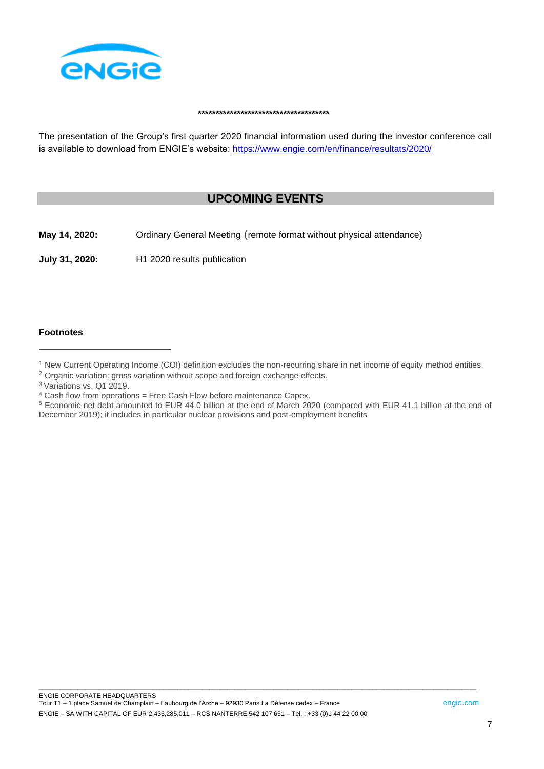

#### **\*\*\*\*\*\*\*\*\*\*\*\*\*\*\*\*\*\*\*\*\*\*\*\*\*\*\*\*\*\*\*\*\*\*\*\*\***

The presentation of the Group's first quarter 2020 financial information used during the investor conference call is available to download from ENGIE's website: <https://www.engie.com/en/finance/resultats/2020/>

# **UPCOMING EVENTS**

**May 14, 2020:** Ordinary General Meeting (remote format without physical attendance)

**July 31, 2020:** H1 2020 results publication

#### **Footnotes**

- <sup>2</sup> Organic variation: gross variation without scope and foreign exchange effects.
- <sup>3</sup> Variations vs. Q1 2019.
- $4$  Cash flow from operations = Free Cash Flow before maintenance Capex.
- <sup>5</sup> Economic net debt amounted to EUR 44.0 billion at the end of March 2020 (compared with EUR 41.1 billion at the end of December 2019); it includes in particular nuclear provisions and post-employment benefits

<sup>&</sup>lt;sup>1</sup> New Current Operating Income (COI) definition excludes the non-recurring share in net income of equity method entities.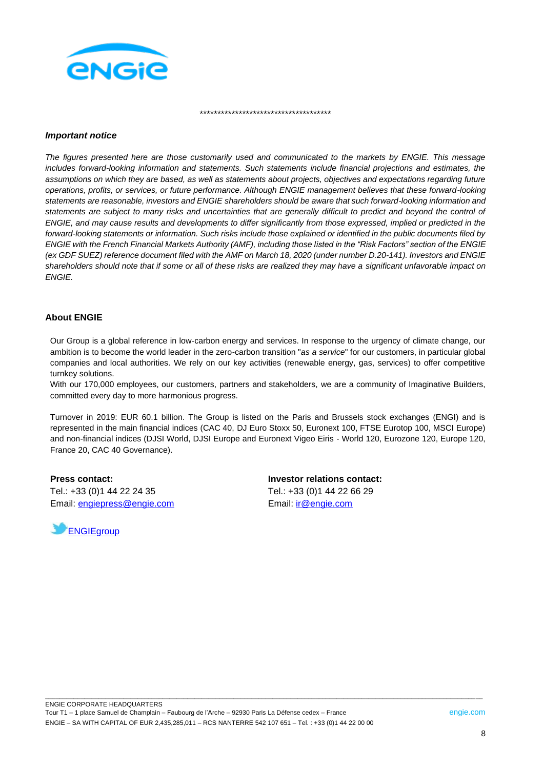

\*\*\*\*\*\*\*\*\*\*\*\*\*\*\*\*\*\*\*\*\*\*\*\*\*\*\*\*\*\*\*\*\*\*\*\*\*

#### *Important notice*

*The figures presented here are those customarily used and communicated to the markets by ENGIE. This message includes forward-looking information and statements. Such statements include financial projections and estimates, the assumptions on which they are based, as well as statements about projects, objectives and expectations regarding future operations, profits, or services, or future performance. Although ENGIE management believes that these forward-looking statements are reasonable, investors and ENGIE shareholders should be aware that such forward-looking information and statements are subject to many risks and uncertainties that are generally difficult to predict and beyond the control of ENGIE, and may cause results and developments to differ significantly from those expressed, implied or predicted in the forward-looking statements or information. Such risks include those explained or identified in the public documents filed by ENGIE with the French Financial Markets Authority (AMF), including those listed in the "Risk Factors" section of the ENGIE (ex GDF SUEZ) reference document filed with the AMF on March 18, 2020 (under number D.20-141). Investors and ENGIE shareholders should note that if some or all of these risks are realized they may have a significant unfavorable impact on ENGIE.*

#### **About ENGIE**

Our Group is a global reference in low-carbon energy and services. In response to the urgency of climate change, our ambition is to become the world leader in the zero-carbon transition "*as a service*" for our customers, in particular global companies and local authorities. We rely on our key activities (renewable energy, gas, services) to offer competitive turnkey solutions.

With our 170,000 employees, our customers, partners and stakeholders, we are a community of Imaginative Builders, committed every day to more harmonious progress.

Turnover in 2019: EUR 60.1 billion. The Group is listed on the Paris and Brussels stock exchanges (ENGI) and is represented in the main financial indices (CAC 40, DJ Euro Stoxx 50, Euronext 100, FTSE Eurotop 100, MSCI Europe) and non-financial indices (DJSI World, DJSI Europe and Euronext Vigeo Eiris - World 120, Eurozone 120, Europe 120, France 20, CAC 40 Governance).

\_\_\_\_\_\_\_\_\_\_\_\_\_\_\_\_\_\_\_\_\_\_\_\_\_\_\_\_\_\_\_\_\_\_\_\_\_\_\_\_\_\_\_\_\_\_\_\_\_\_\_\_\_\_\_\_\_\_\_\_\_\_\_\_\_\_\_\_\_\_\_\_\_\_\_\_\_\_\_\_\_\_\_\_\_\_\_\_\_\_\_\_\_\_\_\_\_\_\_\_\_\_\_\_\_\_\_\_\_\_\_\_\_\_\_\_\_\_\_\_\_\_\_

**Press contact:** Tel.: +33 (0)1 44 22 24 35 Email: [engiepress@engie.com](mailto:engiepress@engie.com)



**Investor relations contact:** Tel.: +33 (0)1 44 22 66 29 Email: [ir@engie.com](mailto:ir@engie.com)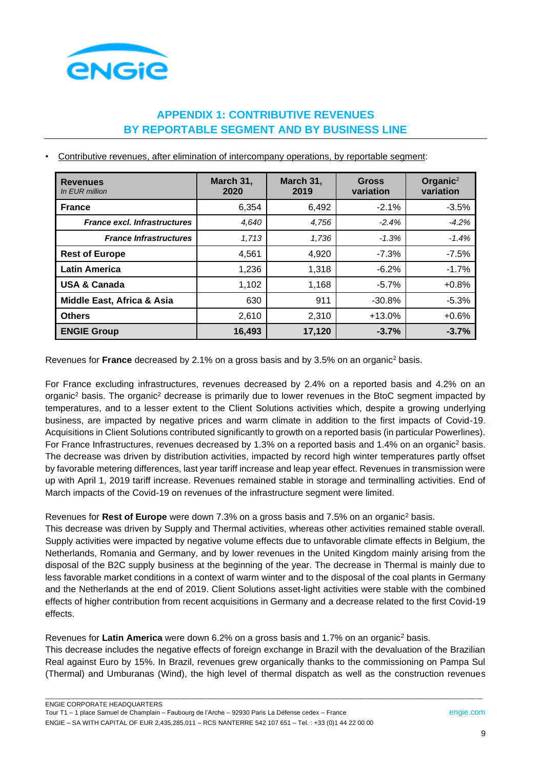

# **APPENDIX 1: CONTRIBUTIVE REVENUES BY REPORTABLE SEGMENT AND BY BUSINESS LINE**

• Contributive revenues, after elimination of intercompany operations, by reportable segment:

| <b>Revenues</b><br>In EUR million   | March 31,<br>2020 | March 31,<br>2019 | <b>Gross</b><br>variation | Organic <sup>2</sup><br>variation |
|-------------------------------------|-------------------|-------------------|---------------------------|-----------------------------------|
| <b>France</b>                       | 6,354             | 6,492             | $-2.1%$                   | $-3.5%$                           |
| <b>France excl. Infrastructures</b> | 4,640             | 4.756             | $-2.4%$                   | $-4.2%$                           |
| <b>France Infrastructures</b>       | 1,713             | 1,736             | $-1.3%$                   | $-1.4%$                           |
| <b>Rest of Europe</b>               | 4,561             | 4,920             | $-7.3%$                   | $-7.5%$                           |
| <b>Latin America</b>                | 1,236             | 1,318             | $-6.2%$                   | $-1.7%$                           |
| <b>USA &amp; Canada</b>             | 1,102             | 1,168             | $-5.7\%$                  | $+0.8%$                           |
| Middle East, Africa & Asia          | 630               | 911               | $-30.8%$                  | $-5.3%$                           |
| <b>Others</b>                       | 2,610             | 2,310             | $+13.0%$                  | $+0.6%$                           |
| <b>ENGIE Group</b>                  | 16,493            | 17,120            | $-3.7%$                   | $-3.7%$                           |

Revenues for **France** decreased by 2.1% on a gross basis and by 3.5% on an organic<sup>2</sup> basis.

For France excluding infrastructures, revenues decreased by 2.4% on a reported basis and 4.2% on an organic<sup>2</sup> basis. The organic<sup>2</sup> decrease is primarily due to lower revenues in the BtoC segment impacted by temperatures, and to a lesser extent to the Client Solutions activities which, despite a growing underlying business, are impacted by negative prices and warm climate in addition to the first impacts of Covid-19. Acquisitions in Client Solutions contributed significantly to growth on a reported basis (in particular Powerlines). For France Infrastructures, revenues decreased by 1.3% on a reported basis and 1.4% on an organic<sup>2</sup> basis. The decrease was driven by distribution activities, impacted by record high winter temperatures partly offset by favorable metering differences, last year tariff increase and leap year effect. Revenues in transmission were up with April 1, 2019 tariff increase. Revenues remained stable in storage and terminalling activities. End of March impacts of the Covid-19 on revenues of the infrastructure segment were limited.

#### Revenues for **Rest of Europe** were down 7.3% on a gross basis and 7.5% on an organic<sup>2</sup> basis.

This decrease was driven by Supply and Thermal activities, whereas other activities remained stable overall. Supply activities were impacted by negative volume effects due to unfavorable climate effects in Belgium, the Netherlands, Romania and Germany, and by lower revenues in the United Kingdom mainly arising from the disposal of the B2C supply business at the beginning of the year. The decrease in Thermal is mainly due to less favorable market conditions in a context of warm winter and to the disposal of the coal plants in Germany and the Netherlands at the end of 2019. Client Solutions asset-light activities were stable with the combined effects of higher contribution from recent acquisitions in Germany and a decrease related to the first Covid-19 effects.

Revenues for **Latin America** were down 6.2% on a gross basis and 1.7% on an organic<sup>2</sup> basis. This decrease includes the negative effects of foreign exchange in Brazil with the devaluation of the Brazilian Real against Euro by 15%. In Brazil, revenues grew organically thanks to the commissioning on Pampa Sul (Thermal) and Umburanas (Wind), the high level of thermal dispatch as well as the construction revenues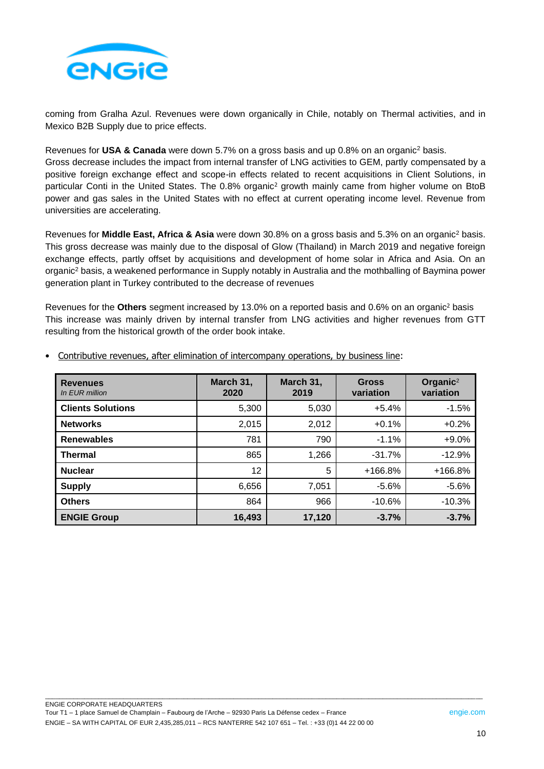

coming from Gralha Azul. Revenues were down organically in Chile, notably on Thermal activities, and in Mexico B2B Supply due to price effects.

Revenues for **USA & Canada** were down 5.7% on a gross basis and up 0.8% on an organic<sup>2</sup> basis. Gross decrease includes the impact from internal transfer of LNG activities to GEM, partly compensated by a positive foreign exchange effect and scope-in effects related to recent acquisitions in Client Solutions, in particular Conti in the United States. The 0.8% organic<sup>2</sup> growth mainly came from higher volume on BtoB power and gas sales in the United States with no effect at current operating income level. Revenue from universities are accelerating.

Revenues for **Middle East, Africa & Asia** were down 30.8% on a gross basis and 5.3% on an organic<sup>2</sup> basis. This gross decrease was mainly due to the disposal of Glow (Thailand) in March 2019 and negative foreign exchange effects, partly offset by acquisitions and development of home solar in Africa and Asia. On an organic<sup>2</sup> basis, a weakened performance in Supply notably in Australia and the mothballing of Baymina power generation plant in Turkey contributed to the decrease of revenues

Revenues for the **Others** segment increased by 13.0% on a reported basis and 0.6% on an organic<sup>2</sup> basis This increase was mainly driven by internal transfer from LNG activities and higher revenues from GTT resulting from the historical growth of the order book intake.

| <b>Revenues</b><br>In EUR million | March 31,<br>2020 | March 31,<br>2019 | <b>Gross</b><br>variation | Organic <sup>2</sup><br>variation |
|-----------------------------------|-------------------|-------------------|---------------------------|-----------------------------------|
| <b>Clients Solutions</b>          | 5,300             | 5,030             | $+5.4%$                   | $-1.5%$                           |
| <b>Networks</b>                   | 2,015             | 2,012             | $+0.1%$                   | $+0.2%$                           |
| <b>Renewables</b>                 | 781               | 790               | $-1.1%$                   | $+9.0%$                           |
| <b>Thermal</b>                    | 865               | 1,266             | $-31.7%$                  | $-12.9%$                          |
| <b>Nuclear</b>                    | 12                | 5                 | $+166.8%$                 | +166.8%                           |
| <b>Supply</b>                     | 6,656             | 7,051             | $-5.6\%$                  | $-5.6%$                           |
| <b>Others</b>                     | 864               | 966               | $-10.6%$                  | $-10.3%$                          |
| <b>ENGIE Group</b>                | 16,493            | 17,120            | $-3.7%$                   | $-3.7%$                           |

\_\_\_\_\_\_\_\_\_\_\_\_\_\_\_\_\_\_\_\_\_\_\_\_\_\_\_\_\_\_\_\_\_\_\_\_\_\_\_\_\_\_\_\_\_\_\_\_\_\_\_\_\_\_\_\_\_\_\_\_\_\_\_\_\_\_\_\_\_\_\_\_\_\_\_\_\_\_\_\_\_\_\_\_\_\_\_\_\_\_\_\_\_\_\_\_\_\_\_\_\_\_\_\_\_\_\_\_\_\_\_\_\_\_\_\_\_\_\_\_\_\_\_

• Contributive revenues, after elimination of intercompany operations, by business line: